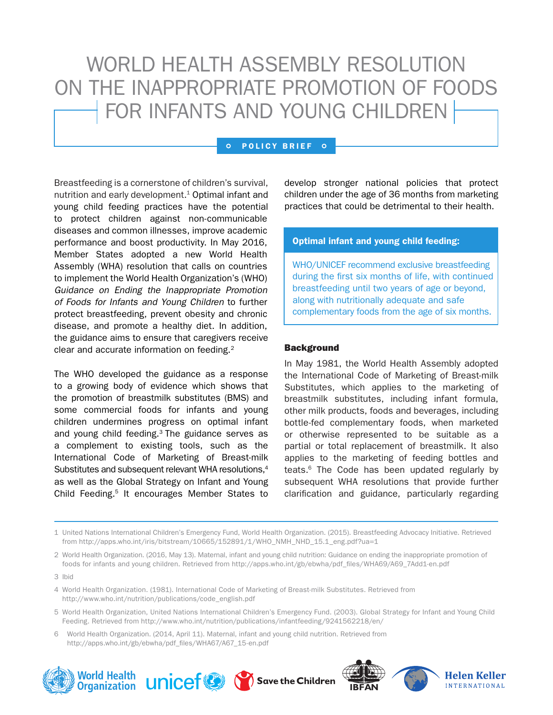# WORLD HEALTH ASSEMBLY RESOLUTION ON THE INAPPROPRIATE PROMOTION OF FOODS FOR INFANTS AND YOUNG CHILDREN

#### $\circ$ POLICY BRIEF O

Breastfeeding is a cornerstone of children's survival, nutrition and early development.<sup>1</sup> Optimal infant and young child feeding practices have the potential to protect children against non-communicable diseases and common illnesses, improve academic performance and boost productivity. In May 2016, Member States adopted a new World Health Assembly (WHA) resolution that calls on countries to implement the World Health Organization's (WHO) *Guidance on Ending the Inappropriate Promotion of Foods for Infants and Young Children* to further protect breastfeeding, prevent obesity and chronic disease, and promote a healthy diet. In addition, the guidance aims to ensure that caregivers receive clear and accurate information on feeding.2

The WHO developed the guidance as a response to a growing body of evidence which shows that the promotion of breastmilk substitutes (BMS) and some commercial foods for infants and young children undermines progress on optimal infant and young child feeding.<sup>3</sup> The guidance serves as a complement to existing tools, such as the International Code of Marketing of Breast-milk Substitutes and subsequent relevant WHA resolutions,<sup>4</sup> as well as the Global Strategy on Infant and Young Child Feeding.<sup>5</sup> It encourages Member States to

develop stronger national policies that protect children under the age of 36 months from marketing practices that could be detrimental to their health.

## Optimal infant and young child feeding:

WHO/UNICEF recommend exclusive breastfeeding during the first six months of life, with continued breastfeeding until two years of age or beyond, along with nutritionally adequate and safe complementary foods from the age of six months.

#### **Background**

In May 1981, the World Health Assembly adopted the International Code of Marketing of Breast-milk Substitutes, which applies to the marketing of breastmilk substitutes, including infant formula, other milk products, foods and beverages, including bottle-fed complementary foods, when marketed or otherwise represented to be suitable as a partial or total replacement of breastmilk. It also applies to the marketing of feeding bottles and teats.6 The Code has been updated regularly by subsequent WHA resolutions that provide further clarification and guidance, particularly regarding

1 United Nations International Children's Emergency Fund, World Health Organization. (2015). Breastfeeding Advocacy Initiative. Retrieved from http://apps.who.int/iris/bitstream/10665/152891/1/WHO\_NMH\_NHD\_15.1\_eng.pdf?ua=1

2 World Health Organization. (2016, May 13). Maternal, infant and young child nutrition: Guidance on ending the inappropriate promotion of foods for infants and young children. Retrieved from http://apps.who.int/gb/ebwha/pdf\_files/WHA69/A69\_7Add1-en.pdf

- 4 World Health Organization. (1981). International Code of Marketing of Breast-milk Substitutes. Retrieved from http://www.who.int/nutrition/publications/code\_english.pdf
- 5 World Health Organization, United Nations International Children's Emergency Fund. (2003). Global Strategy for Infant and Young Child Feeding. Retrieved from http://www.who.int/nutrition/publications/infantfeeding/9241562218/en/
- 6 World Health Organization. (2014, April 11). Maternal, infant and young child nutrition. Retrieved from http://apps.who.int/gb/ebwha/pdf\_files/WHA67/A67\_15-en.pdf





<sup>3</sup> Ibid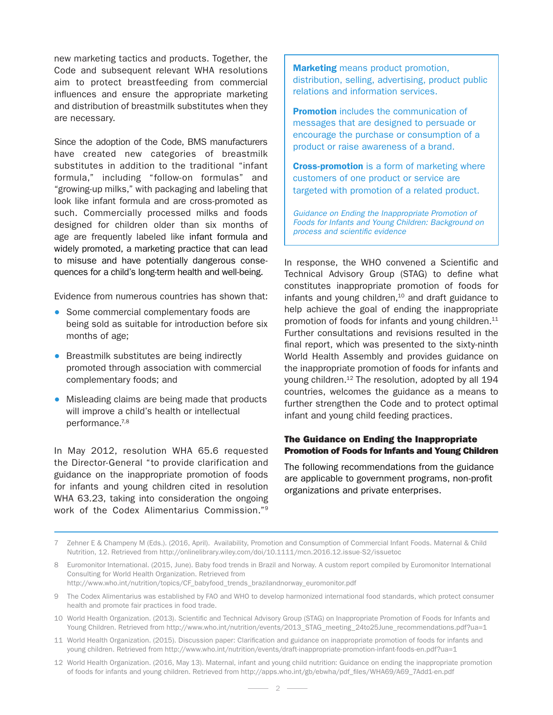new marketing tactics and products. Together, the Code and subsequent relevant WHA resolutions aim to protect breastfeeding from commercial influences and ensure the appropriate marketing and distribution of breastmilk substitutes when they are necessary.

Since the adoption of the Code, BMS manufacturers have created new categories of breastmilk substitutes in addition to the traditional "infant formula," including "follow-on formulas" and "growing-up milks," with packaging and labeling that look like infant formula and are cross-promoted as such. Commercially processed milks and foods designed for children older than six months of age are frequently labeled like infant formula and widely promoted, a marketing practice that can lead to misuse and have potentially dangerous consequences for a child's long-term health and well-being.

Evidence from numerous countries has shown that:

- Some commercial complementary foods are being sold as suitable for introduction before six months of age;
- Breastmilk substitutes are being indirectly promoted through association with commercial complementary foods; and
- Misleading claims are being made that products will improve a child's health or intellectual performance.7,8

In May 2012, resolution WHA 65.6 requested the Director-General "to provide clarification and guidance on the inappropriate promotion of foods for infants and young children cited in resolution WHA 63.23, taking into consideration the ongoing work of the Codex Alimentarius Commission."9

Marketing means product promotion, distribution, selling, advertising, product public relations and information services.

**Promotion** includes the communication of messages that are designed to persuade or encourage the purchase or consumption of a product or raise awareness of a brand.

**Cross-promotion** is a form of marketing where customers of one product or service are targeted with promotion of a related product.

*Guidance on Ending the Inappropriate Promotion of Foods for Infants and Young Children: Background on process and scientific evidence*

In response, the WHO convened a Scientific and Technical Advisory Group (STAG) to define what constitutes inappropriate promotion of foods for infants and young children, $10$  and draft guidance to help achieve the goal of ending the inappropriate promotion of foods for infants and young children.<sup>11</sup> Further consultations and revisions resulted in the final report, which was presented to the sixty-ninth World Health Assembly and provides guidance on the inappropriate promotion of foods for infants and young children.12 The resolution, adopted by all 194 countries, welcomes the guidance as a means to further strengthen the Code and to protect optimal infant and young child feeding practices.

# The Guidance on Ending the Inappropriate Promotion of Foods for Infants and Young Children

The following recommendations from the guidance are applicable to government programs, non-profit organizations and private enterprises.

- 10 World Health Organization. (2013). Scientific and Technical Advisory Group (STAG) on Inappropriate Promotion of Foods for Infants and Young Children. Retrieved from http://www.who.int/nutrition/events/2013\_STAG\_meeting\_24to25June\_recommendations.pdf?ua=1
- 11 World Health Organization. (2015). Discussion paper: Clarification and guidance on inappropriate promotion of foods for infants and young children. Retrieved from http://www.who.int/nutrition/events/draft-inappropriate-promotion-infant-foods-en.pdf?ua=1
- 12 World Health Organization. (2016, May 13). Maternal, infant and young child nutrition: Guidance on ending the inappropriate promotion of foods for infants and young children. Retrieved from http://apps.who.int/gb/ebwha/pdf\_files/WHA69/A69\_7Add1-en.pdf

<sup>7</sup> Zehner E & Champeny M (Eds.). (2016, April). Availability, Promotion and Consumption of Commercial Infant Foods. Maternal & Child Nutrition, 12. Retrieved from http://onlinelibrary.wiley.com/doi/10.1111/mcn.2016.12.issue-S2/issuetoc

<sup>8</sup> Euromonitor International. (2015, June). Baby food trends in Brazil and Norway. A custom report compiled by Euromonitor International Consulting for World Health Organization. Retrieved from http://www.who.int/nutrition/topics/CF\_babyfood\_trends\_brazilandnorway\_euromonitor.pdf

<sup>9</sup> The Codex Alimentarius was established by FAO and WHO to develop harmonized international food standards, which protect consumer health and promote fair practices in food trade.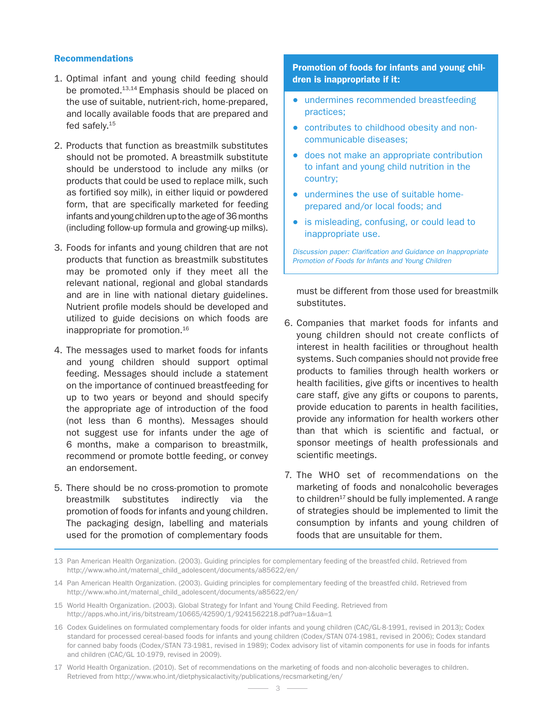# **Recommendations**

- 1. Optimal infant and young child feeding should be promoted.<sup>13,14</sup> Emphasis should be placed on the use of suitable, nutrient-rich, home-prepared, and locally available foods that are prepared and fed safely.15
- 2. Products that function as breastmilk substitutes should not be promoted. A breastmilk substitute should be understood to include any milks (or products that could be used to replace milk, such as fortified soy milk), in either liquid or powdered form, that are specifically marketed for feeding infants and young children up to the age of 36 months (including follow-up formula and growing-up milks).
- 3. Foods for infants and young children that are not products that function as breastmilk substitutes may be promoted only if they meet all the relevant national, regional and global standards and are in line with national dietary guidelines. Nutrient profile models should be developed and utilized to guide decisions on which foods are inappropriate for promotion.16
- 4. The messages used to market foods for infants and young children should support optimal feeding. Messages should include a statement on the importance of continued breastfeeding for up to two years or beyond and should specify the appropriate age of introduction of the food (not less than 6 months). Messages should not suggest use for infants under the age of 6 months, make a comparison to breastmilk, recommend or promote bottle feeding, or convey an endorsement.
- 5. There should be no cross-promotion to promote breastmilk substitutes indirectly via the promotion of foods for infants and young children. The packaging design, labelling and materials used for the promotion of complementary foods

# Promotion of foods for infants and young children is inappropriate if it:

- undermines recommended breastfeeding practices;
- contributes to childhood obesity and noncommunicable diseases;
- does not make an appropriate contribution to infant and young child nutrition in the country;
- undermines the use of suitable homeprepared and/or local foods; and
- is misleading, confusing, or could lead to inappropriate use.

*Discussion paper: Clarification and Guidance on Inappropriate Promotion of Foods for Infants and Young Children*

must be different from those used for breastmilk substitutes.

- 6. Companies that market foods for infants and young children should not create conflicts of interest in health facilities or throughout health systems. Such companies should not provide free products to families through health workers or health facilities, give gifts or incentives to health care staff, give any gifts or coupons to parents, provide education to parents in health facilities, provide any information for health workers other than that which is scientific and factual, or sponsor meetings of health professionals and scientific meetings.
- 7. The WHO set of recommendations on the marketing of foods and nonalcoholic beverages to children $17$  should be fully implemented. A range of strategies should be implemented to limit the consumption by infants and young children of foods that are unsuitable for them.

- 15 World Health Organization. (2003). Global Strategy for Infant and Young Child Feeding. Retrieved from http://apps.who.int/iris/bitstream/10665/42590/1/9241562218.pdf?ua=1&ua=1
- 16 Codex Guidelines on formulated complementary foods for older infants and young children (CAC/GL-8-1991, revised in 2013); Codex standard for processed cereal-based foods for infants and young children (Codex/STAN 074-1981, revised in 2006); Codex standard for canned baby foods (Codex/STAN 73-1981, revised in 1989); Codex advisory list of vitamin components for use in foods for infants and children (CAC/GL 10-1979, revised in 2009).
- 17 World Health Organization. (2010). Set of recommendations on the marketing of foods and non-alcoholic beverages to children. Retrieved from http://www.who.int/dietphysicalactivity/publications/recsmarketing/en/

<sup>13</sup> Pan American Health Organization. (2003). Guiding principles for complementary feeding of the breastfed child. Retrieved from http://www.who.int/maternal\_child\_adolescent/documents/a85622/en/

<sup>14</sup> Pan American Health Organization. (2003). Guiding principles for complementary feeding of the breastfed child. Retrieved from http://www.who.int/maternal\_child\_adolescent/documents/a85622/en/